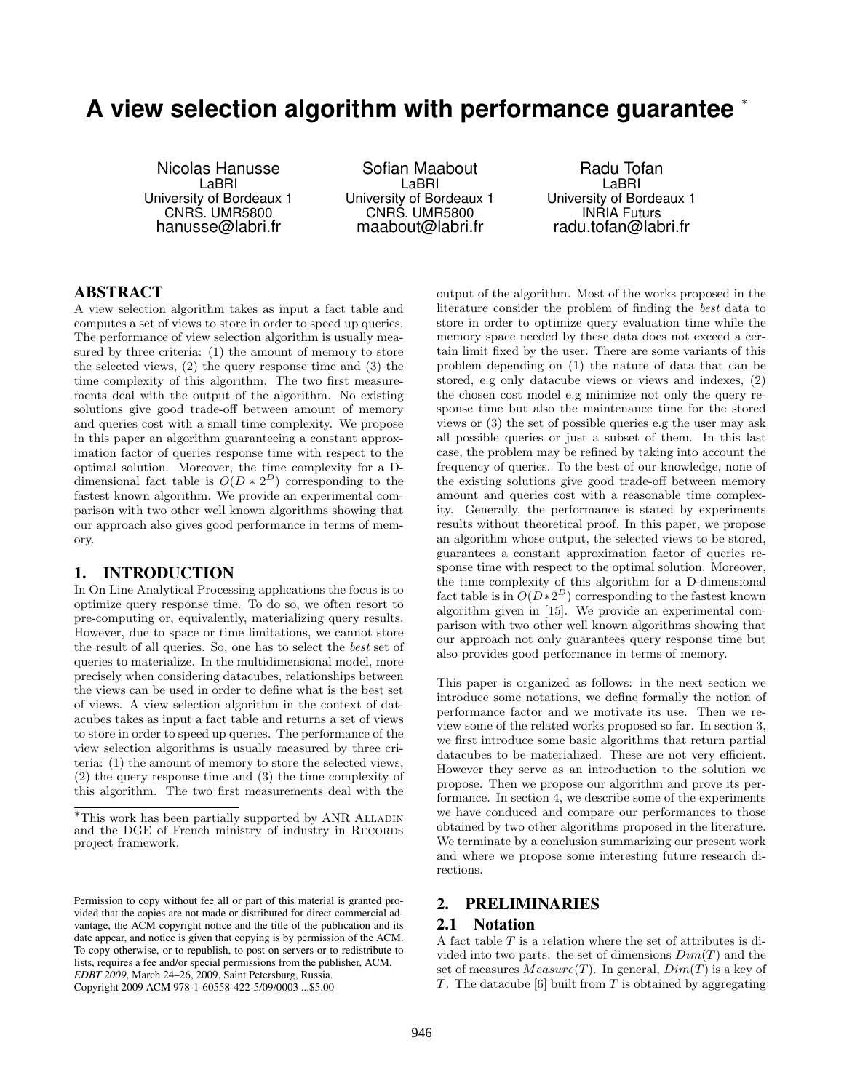# **A view selection algorithm with performance guarantee** <sup>∗</sup>

Nicolas Hanusse LaBRI University of Bordeaux 1 CNRS. UMR5800 hanusse@labri.fr

Sofian Maabout LaBRI University of Bordeaux 1 CNRS. UMR5800 maabout@labri.fr

Radu Tofan LaBRI University of Bordeaux 1 INRIA Futurs radu.tofan@labri.fr

# ABSTRACT

A view selection algorithm takes as input a fact table and computes a set of views to store in order to speed up queries. The performance of view selection algorithm is usually measured by three criteria: (1) the amount of memory to store the selected views, (2) the query response time and (3) the time complexity of this algorithm. The two first measurements deal with the output of the algorithm. No existing solutions give good trade-off between amount of memory and queries cost with a small time complexity. We propose in this paper an algorithm guaranteeing a constant approximation factor of queries response time with respect to the optimal solution. Moreover, the time complexity for a Ddimensional fact table is  $O(D * 2^D)$  corresponding to the fastest known algorithm. We provide an experimental comparison with two other well known algorithms showing that our approach also gives good performance in terms of memory.

#### 1. INTRODUCTION

In On Line Analytical Processing applications the focus is to optimize query response time. To do so, we often resort to pre-computing or, equivalently, materializing query results. However, due to space or time limitations, we cannot store the result of all queries. So, one has to select the best set of queries to materialize. In the multidimensional model, more precisely when considering datacubes, relationships between the views can be used in order to define what is the best set of views. A view selection algorithm in the context of datacubes takes as input a fact table and returns a set of views to store in order to speed up queries. The performance of the view selection algorithms is usually measured by three criteria: (1) the amount of memory to store the selected views, (2) the query response time and (3) the time complexity of this algorithm. The two first measurements deal with the

output of the algorithm. Most of the works proposed in the literature consider the problem of finding the best data to store in order to optimize query evaluation time while the memory space needed by these data does not exceed a certain limit fixed by the user. There are some variants of this problem depending on (1) the nature of data that can be stored, e.g only datacube views or views and indexes, (2) the chosen cost model e.g minimize not only the query response time but also the maintenance time for the stored views or (3) the set of possible queries e.g the user may ask all possible queries or just a subset of them. In this last case, the problem may be refined by taking into account the frequency of queries. To the best of our knowledge, none of the existing solutions give good trade-off between memory amount and queries cost with a reasonable time complexity. Generally, the performance is stated by experiments results without theoretical proof. In this paper, we propose an algorithm whose output, the selected views to be stored, guarantees a constant approximation factor of queries response time with respect to the optimal solution. Moreover, the time complexity of this algorithm for a D-dimensional fact table is in  $O(D \times 2^D)$  corresponding to the fastest known algorithm given in [15]. We provide an experimental comparison with two other well known algorithms showing that our approach not only guarantees query response time but also provides good performance in terms of memory.

This paper is organized as follows: in the next section we introduce some notations, we define formally the notion of performance factor and we motivate its use. Then we review some of the related works proposed so far. In section 3, we first introduce some basic algorithms that return partial datacubes to be materialized. These are not very efficient. However they serve as an introduction to the solution we propose. Then we propose our algorithm and prove its performance. In section 4, we describe some of the experiments we have conduced and compare our performances to those obtained by two other algorithms proposed in the literature. We terminate by a conclusion summarizing our present work and where we propose some interesting future research directions.

# 2. PRELIMINARIES

# 2.1 Notation

A fact table  $T$  is a relation where the set of attributes is divided into two parts: the set of dimensions  $Dim(T)$  and the set of measures  $Measure(T)$ . In general,  $Dim(T)$  is a key of T. The datacube  $[6]$  built from T is obtained by aggregating

<sup>∗</sup>This work has been partially supported by ANR Alladin and the DGE of French ministry of industry in RECORDS project framework.

Permission to copy without fee all or part of this material is granted provided that the copies are not made or distributed for direct commercial advantage, the ACM copyright notice and the title of the publication and its date appear, and notice is given that copying is by permission of the ACM. To copy otherwise, or to republish, to post on servers or to redistribute to lists, requires a fee and/or special permissions from the publisher, ACM. *EDBT 2009*, March 24–26, 2009, Saint Petersburg, Russia. Copyright 2009 ACM 978-1-60558-422-5/09/0003 ...\$5.00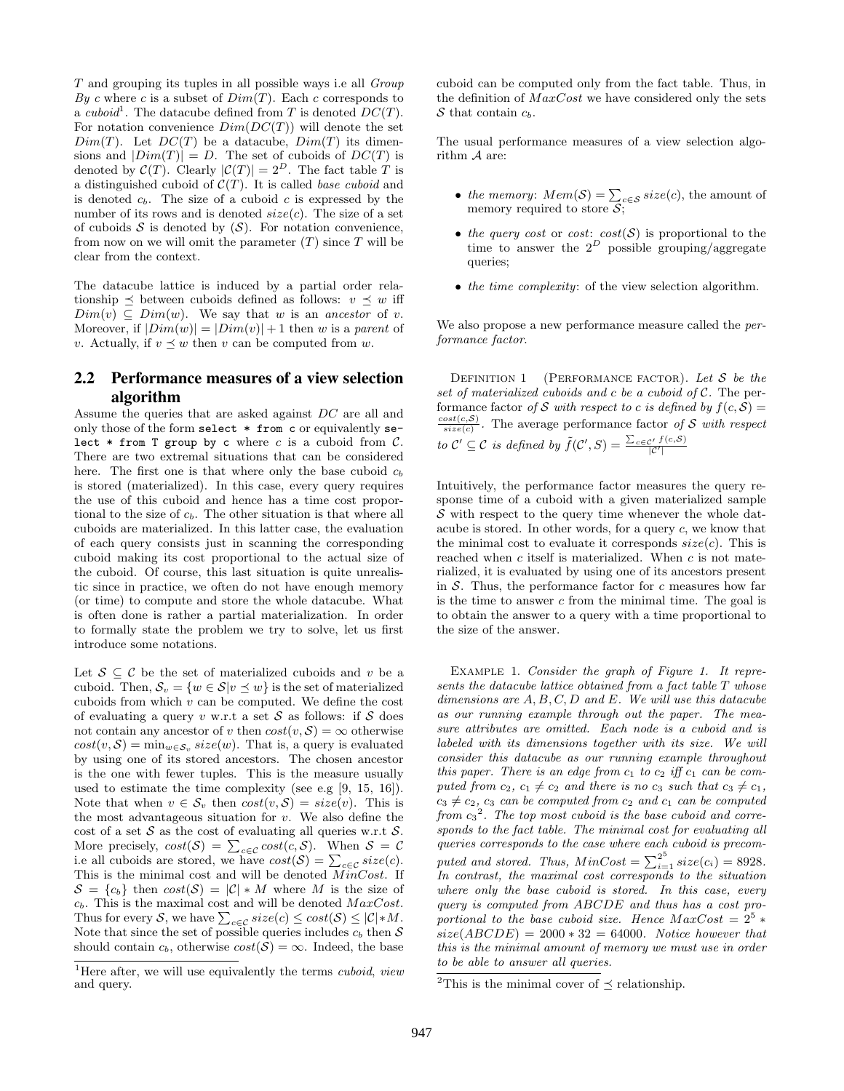T and grouping its tuples in all possible ways i.e all Group By c where c is a subset of  $Dim(T)$ . Each c corresponds to a cuboid<sup>1</sup>. The datacube defined from T is denoted  $DC(T)$ . For notation convenience  $Dim(DC(T))$  will denote the set  $Dim(T)$ . Let  $DC(T)$  be a datacube,  $Dim(T)$  its dimensions and  $|Dim(T)| = D$ . The set of cuboids of  $DC(T)$  is denoted by  $\mathcal{C}(T)$ . Clearly  $|\mathcal{C}(T)| = 2^D$ . The fact table T is a distinguished cuboid of  $C(T)$ . It is called *base cuboid* and is denoted  $c_b$ . The size of a cuboid c is expressed by the number of its rows and is denoted  $size(c)$ . The size of a set of cuboids  $S$  is denoted by  $(S)$ . For notation convenience, from now on we will omit the parameter  $(T)$  since  $T$  will be clear from the context.

The datacube lattice is induced by a partial order relationship  $\preceq$  between cuboids defined as follows:  $v \preceq w$  iff  $Dim(v) \subseteq Dim(w)$ . We say that w is an ancestor of v. Moreover, if  $|Dim(w)| = |Dim(v)| + 1$  then w is a parent of v. Actually, if  $v \prec w$  then v can be computed from w.

# 2.2 Performance measures of a view selection algorithm

Assume the queries that are asked against DC are all and only those of the form select \* from c or equivalently select  $*$  from T group by c where c is a cuboid from C. There are two extremal situations that can be considered here. The first one is that where only the base cuboid  $c<sub>b</sub>$ is stored (materialized). In this case, every query requires the use of this cuboid and hence has a time cost proportional to the size of  $c_b$ . The other situation is that where all cuboids are materialized. In this latter case, the evaluation of each query consists just in scanning the corresponding cuboid making its cost proportional to the actual size of the cuboid. Of course, this last situation is quite unrealistic since in practice, we often do not have enough memory (or time) to compute and store the whole datacube. What is often done is rather a partial materialization. In order to formally state the problem we try to solve, let us first introduce some notations.

Let  $S \subseteq \mathcal{C}$  be the set of materialized cuboids and v be a cuboid. Then,  $S_v = \{w \in \mathcal{S} | v \prec w\}$  is the set of materialized cuboids from which  $v$  can be computed. We define the cost of evaluating a query v w.r.t a set  $S$  as follows: if  $S$  does not contain any ancestor of v then  $cost(v, S) = \infty$  otherwise  $cost(v, \mathcal{S}) = \min_{w \in \mathcal{S}_v} size(w)$ . That is, a query is evaluated by using one of its stored ancestors. The chosen ancestor is the one with fewer tuples. This is the measure usually used to estimate the time complexity (see e.g [9, 15, 16]). Note that when  $v \in \mathcal{S}_v$  then  $cost(v, \mathcal{S}) = size(v)$ . This is the most advantageous situation for  $v$ . We also define the cost of a set  $S$  as the cost of evaluating all queries w.r.t  $S$ . More precisely,  $cost(S) = \sum_{c \in \mathcal{C}} cost(c, \mathcal{S})$ . When  $\mathcal{S} = \mathcal{C}$ i.e all cuboids are stored, we have  $cost(S) = \sum_{c \in \mathcal{C}} size(c)$ . This is the minimal cost and will be denoted  $MinCost$ . If  $S = \{c_b\}$  then  $cost(S) = |\mathcal{C}| * M$  where M is the size of  $c_b$ . This is the maximal cost and will be denoted  $MaxCost$ . Thus for every S, we have  $\sum_{c \in \mathcal{C}} size(c) \leq cost(\mathcal{S}) \leq |\mathcal{C}| * M$ . Note that since the set of possible queries includes  $c_b$  then S should contain  $c_b$ , otherwise  $cost(\hat{S}) = \infty$ . Indeed, the base

cuboid can be computed only from the fact table. Thus, in the definition of  $MaxCost$  we have considered only the sets S that contain  $c_b$ .

The usual performance measures of a view selection algorithm A are:

- the memory:  $Mem(S) = \sum_{c \in S} size(c)$ , the amount of memory required to store  $S$ ;
- the query cost or cost:  $cost(\mathcal{S})$  is proportional to the time to answer the  $2^D$  possible grouping/aggregate queries;
- the time complexity: of the view selection algorithm.

We also propose a new performance measure called the performance factor.

DEFINITION 1 (PERFORMANCE FACTOR). Let  $S$  be the set of materialized cuboids and c be a cuboid of  $C$ . The performance factor of S with respect to c is defined by  $f(c, S) =$  $\frac{cost(c, S)}{size(c)}$ . The average performance factor of S with respect to  $\mathcal{C}' \subseteq \mathcal{C}$  is defined by  $\tilde{f}(\mathcal{C}', S) = \frac{\sum_{c \in \mathcal{C}'} f(c, S)}{|\mathcal{C}'|}$ 

Intuitively, the performance factor measures the query response time of a cuboid with a given materialized sample  $S$  with respect to the query time whenever the whole datacube is stored. In other words, for a query c, we know that the minimal cost to evaluate it corresponds  $size(c)$ . This is reached when  $c$  itself is materialized. When  $c$  is not materialized, it is evaluated by using one of its ancestors present in  $S$ . Thus, the performance factor for c measures how far is the time to answer  $c$  from the minimal time. The goal is to obtain the answer to a query with a time proportional to the size of the answer.

EXAMPLE 1. Consider the graph of Figure 1. It represents the datacube lattice obtained from a fact table T whose dimensions are  $A, B, C, D$  and  $E$ . We will use this datacube as our running example through out the paper. The measure attributes are omitted. Each node is a cuboid and is labeled with its dimensions together with its size. We will consider this datacube as our running example throughout this paper. There is an edge from  $c_1$  to  $c_2$  iff  $c_1$  can be computed from  $c_2$ ,  $c_1 \neq c_2$  and there is no  $c_3$  such that  $c_3 \neq c_1$ ,  $c_3 \neq c_2$ ,  $c_3$  can be computed from  $c_2$  and  $c_1$  can be computed from  $c_3^2$ . The top most cuboid is the base cuboid and corresponds to the fact table. The minimal cost for evaluating all queries corresponds to the case where each cuboid is precomputed and stored. Thus,  $MinCost = \sum_{i=1}^{2^5} size(c_i) = 8928$ . In contrast, the maximal cost corresponds to the situation where only the base cuboid is stored. In this case, every query is computed from ABCDE and thus has a cost proportional to the base cuboid size. Hence  $MaxCost = 2^5 *$  $size(ABCDE) = 2000 * 32 = 64000$ . Notice however that this is the minimal amount of memory we must use in order to be able to answer all queries.

<sup>&</sup>lt;sup>1</sup>Here after, we will use equivalently the terms *cuboid, view* and query.

<sup>&</sup>lt;sup>2</sup>This is the minimal cover of  $\preceq$  relationship.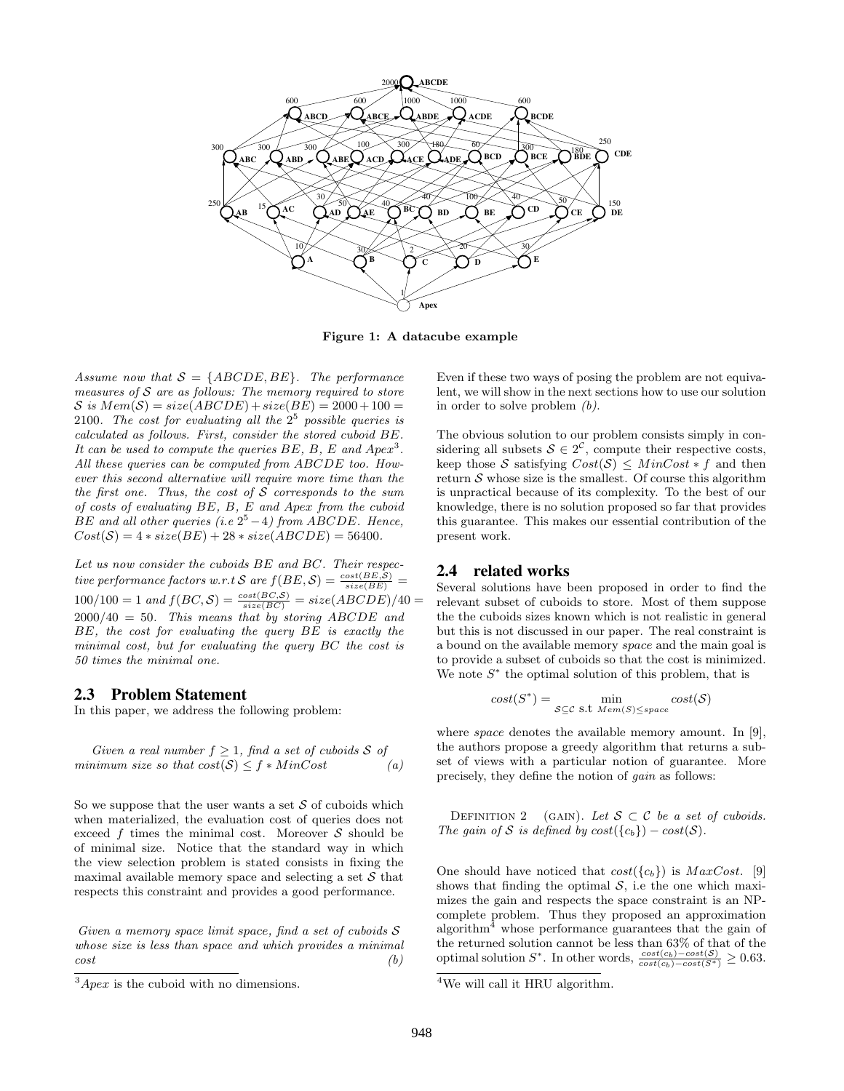

Figure 1: A datacube example

Assume now that  $S = \{ABCDE, BE\}$ . The performance measures of  $S$  are as follows: The memory required to store  $S$  is  $Mem(S) = size(ABCDE) + size(BE) = 2000 + 100 =$ 2100. The cost for evaluating all the  $2^5$  possible queries is calculated as follows. First, consider the stored cuboid BE. It can be used to compute the queries  $BE$ ,  $B$ ,  $E$  and  $A p e x<sup>3</sup>$ . All these queries can be computed from ABCDE too. However this second alternative will require more time than the the first one. Thus, the cost of  $S$  corresponds to the sum of costs of evaluating BE, B, E and Apex from the cuboid BE and all other queries (i.e  $2^5 - 4$ ) from ABCDE. Hence,  $Cost(S) = 4 * size(BE) + 28 * size(ABCDE) = 56400.$ 

Let us now consider the cuboids BE and BC. Their respective performance factors w.r.t S are  $f(BE, S) = \frac{cost(BE, S)}{size(BE)}$  =  $100/100 = 1$  and  $f(BC, S) = \frac{cost(BC, S)}{size(BC)} = size(ABCDE)/40 =$  $2000/40 = 50$ . This means that by storing ABCDE and BE, the cost for evaluating the query BE is exactly the minimal cost, but for evaluating the query BC the cost is 50 times the minimal one.

#### 2.3 Problem Statement

In this paper, we address the following problem:

Given a real number  $f \geq 1$ , find a set of cuboids S of minimum size so that  $cost(S) \leq f * MinCost$  (a)

So we suppose that the user wants a set  $S$  of cuboids which when materialized, the evaluation cost of queries does not exceed  $f$  times the minimal cost. Moreover  $S$  should be of minimal size. Notice that the standard way in which the view selection problem is stated consists in fixing the maximal available memory space and selecting a set  $S$  that respects this constraint and provides a good performance.

Given a memory space limit space, find a set of cuboids S whose size is less than space and which provides a minimal  $cost$  (b)

Even if these two ways of posing the problem are not equivalent, we will show in the next sections how to use our solution in order to solve problem  $(b)$ .

The obvious solution to our problem consists simply in considering all subsets  $S \in 2^{\mathcal{C}}$ , compute their respective costs, keep those S satisfying  $Cost(S) \leq MinCost * f$  and then return  $S$  whose size is the smallest. Of course this algorithm is unpractical because of its complexity. To the best of our knowledge, there is no solution proposed so far that provides this guarantee. This makes our essential contribution of the present work.

#### 2.4 related works

Several solutions have been proposed in order to find the relevant subset of cuboids to store. Most of them suppose the the cuboids sizes known which is not realistic in general but this is not discussed in our paper. The real constraint is a bound on the available memory space and the main goal is to provide a subset of cuboids so that the cost is minimized. We note  $S^*$  the optimal solution of this problem, that is

$$
cost(S^*) = \min_{\mathcal{S} \subseteq \mathcal{C} \text{ s.t } \text{Mem}(S) \leq space} cost(\mathcal{S})
$$

where *space* denotes the available memory amount. In [9], the authors propose a greedy algorithm that returns a subset of views with a particular notion of guarantee. More precisely, they define the notion of gain as follows:

DEFINITION 2 (GAIN). Let  $S \subset C$  be a set of cuboids. The gain of S is defined by  $cost({c_b}) - cost(S)$ .

One should have noticed that  $cost({c_b})$  is  $MaxCost.$  [9] shows that finding the optimal  $S$ , i.e the one which maximizes the gain and respects the space constraint is an NPcomplete problem. Thus they proposed an approximation algorithm<sup>4</sup> whose performance guarantees that the gain of the returned solution cannot be less than 63% of that of the optimal solution  $S^*$ . In other words,  $\frac{cost(c_b) - cost(S)}{cost(c_b) - cost(S^*)} \ge 0.63$ .

 $3Apec$  is the cuboid with no dimensions.

<sup>&</sup>lt;sup>4</sup>We will call it HRU algorithm.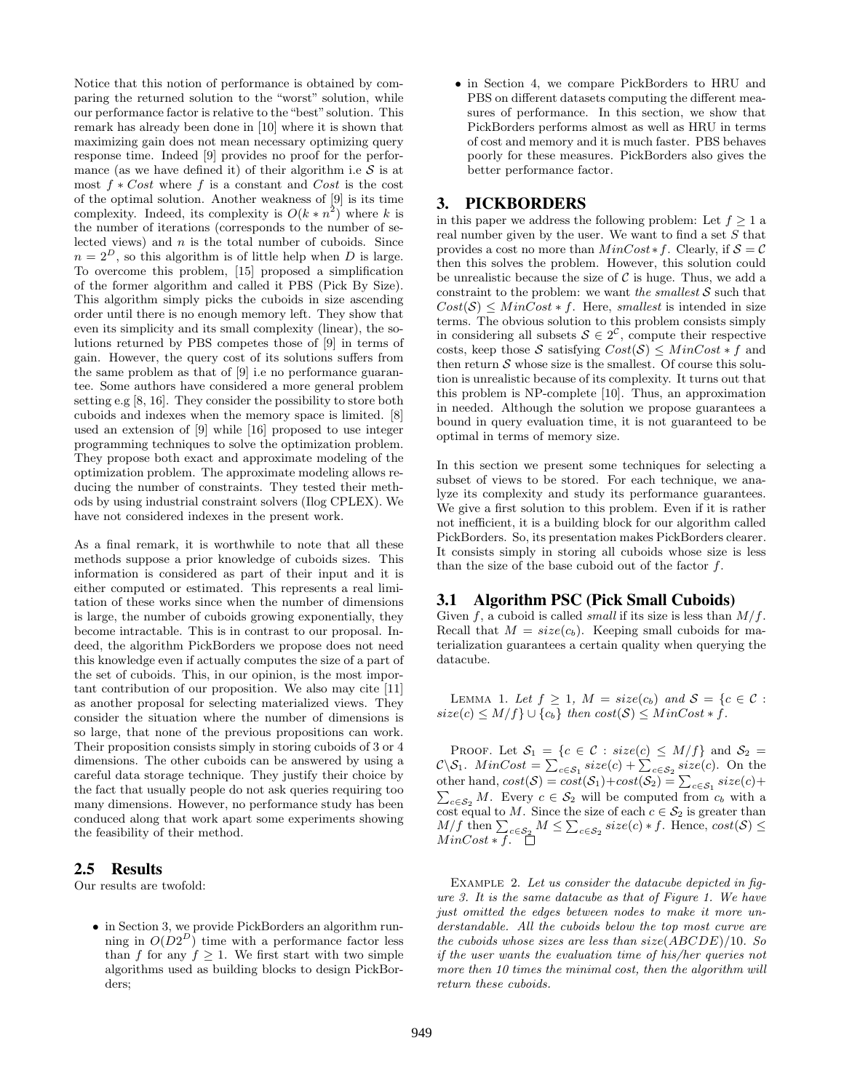Notice that this notion of performance is obtained by comparing the returned solution to the "worst" solution, while our performance factor is relative to the "best" solution. This remark has already been done in [10] where it is shown that maximizing gain does not mean necessary optimizing query response time. Indeed [9] provides no proof for the performance (as we have defined it) of their algorithm i.e  $\mathcal S$  is at most  $f * Cost$  where f is a constant and Cost is the cost of the optimal solution. Another weakness of [9] is its time complexity. Indeed, its complexity is  $O(k * n^2)$  where k is the number of iterations (corresponds to the number of selected views) and  $n$  is the total number of cuboids. Since  $n = 2^D$ , so this algorithm is of little help when D is large. To overcome this problem, [15] proposed a simplification of the former algorithm and called it PBS (Pick By Size). This algorithm simply picks the cuboids in size ascending order until there is no enough memory left. They show that even its simplicity and its small complexity (linear), the solutions returned by PBS competes those of [9] in terms of gain. However, the query cost of its solutions suffers from the same problem as that of [9] i.e no performance guarantee. Some authors have considered a more general problem setting e.g [8, 16]. They consider the possibility to store both cuboids and indexes when the memory space is limited. [8] used an extension of [9] while [16] proposed to use integer programming techniques to solve the optimization problem. They propose both exact and approximate modeling of the optimization problem. The approximate modeling allows reducing the number of constraints. They tested their methods by using industrial constraint solvers (Ilog CPLEX). We have not considered indexes in the present work.

As a final remark, it is worthwhile to note that all these methods suppose a prior knowledge of cuboids sizes. This information is considered as part of their input and it is either computed or estimated. This represents a real limitation of these works since when the number of dimensions is large, the number of cuboids growing exponentially, they become intractable. This is in contrast to our proposal. Indeed, the algorithm PickBorders we propose does not need this knowledge even if actually computes the size of a part of the set of cuboids. This, in our opinion, is the most important contribution of our proposition. We also may cite [11] as another proposal for selecting materialized views. They consider the situation where the number of dimensions is so large, that none of the previous propositions can work. Their proposition consists simply in storing cuboids of 3 or 4 dimensions. The other cuboids can be answered by using a careful data storage technique. They justify their choice by the fact that usually people do not ask queries requiring too many dimensions. However, no performance study has been conduced along that work apart some experiments showing the feasibility of their method.

#### 2.5 Results

Our results are twofold:

• in Section 3, we provide PickBorders an algorithm running in  $O(D2^D)$  time with a performance factor less than f for any  $f \geq 1$ . We first start with two simple algorithms used as building blocks to design PickBorders;

• in Section 4, we compare PickBorders to HRU and PBS on different datasets computing the different measures of performance. In this section, we show that PickBorders performs almost as well as HRU in terms of cost and memory and it is much faster. PBS behaves poorly for these measures. PickBorders also gives the better performance factor.

#### 3. PICKBORDERS

in this paper we address the following problem: Let  $f \geq 1$  a real number given by the user. We want to find a set  $S$  that provides a cost no more than  $MinCost * f$ . Clearly, if  $S = C$ then this solves the problem. However, this solution could be unrealistic because the size of  $\mathcal C$  is huge. Thus, we add a constraint to the problem: we want the smallest  $S$  such that  $Cost(S) \leq MinCost * f$ . Here, *smallest* is intended in size terms. The obvious solution to this problem consists simply in considering all subsets  $S \in 2^{\mathcal{C}}$ , compute their respective costs, keep those S satisfying  $Cost(S) \leq MinCost * f$  and then return  $S$  whose size is the smallest. Of course this solution is unrealistic because of its complexity. It turns out that this problem is NP-complete [10]. Thus, an approximation in needed. Although the solution we propose guarantees a bound in query evaluation time, it is not guaranteed to be optimal in terms of memory size.

In this section we present some techniques for selecting a subset of views to be stored. For each technique, we analyze its complexity and study its performance guarantees. We give a first solution to this problem. Even if it is rather not inefficient, it is a building block for our algorithm called PickBorders. So, its presentation makes PickBorders clearer. It consists simply in storing all cuboids whose size is less than the size of the base cuboid out of the factor f.

#### 3.1 Algorithm PSC (Pick Small Cuboids)

Given f, a cuboid is called *small* if its size is less than  $M/f$ . Recall that  $M = size(c_b)$ . Keeping small cuboids for materialization guarantees a certain quality when querying the datacube.

LEMMA 1. Let  $f \geq 1$ ,  $M = size(c_b)$  and  $S = \{c \in \mathcal{C}$ :  $size(c) \leq M/f$   $\cup$   $\{c_b\}$  then  $cost(\mathcal{S}) \leq MinCost * f$ .

PROOF. Let  $S_1 = \{c \in \mathcal{C} : size(c) \leq M/f\}$  and  $S_2 =$  $\mathcal{C}\backslash\mathcal{S}_1$ .  $MinCost = \sum_{c \in \mathcal{S}_1} size(c) + \sum_{c \in \mathcal{S}_2} size(c)$ . On the other hand,  $cost(S) = cost(S_1) + cost(S_2) = \sum_{c \in S_1} size(c) +$  $\sum_{c \in S_2} M$ . Every  $c \in S_2$  will be computed from  $c_b$  with a cost equal to M. Since the size of each  $c \in S_2$  is greater than  $M/f$  then  $\sum_{c \in S_2} M \leq \sum_{c \in S_2} size(c) * f$ . Hence,  $cost(S) \leq$  $MinCost * f$ .

EXAMPLE 2. Let us consider the datacube depicted in figure 3. It is the same datacube as that of Figure 1. We have just omitted the edges between nodes to make it more understandable. All the cuboids below the top most curve are the cuboids whose sizes are less than  $size(ABCDE)/10$ . So if the user wants the evaluation time of his/her queries not more then 10 times the minimal cost, then the algorithm will return these cuboids.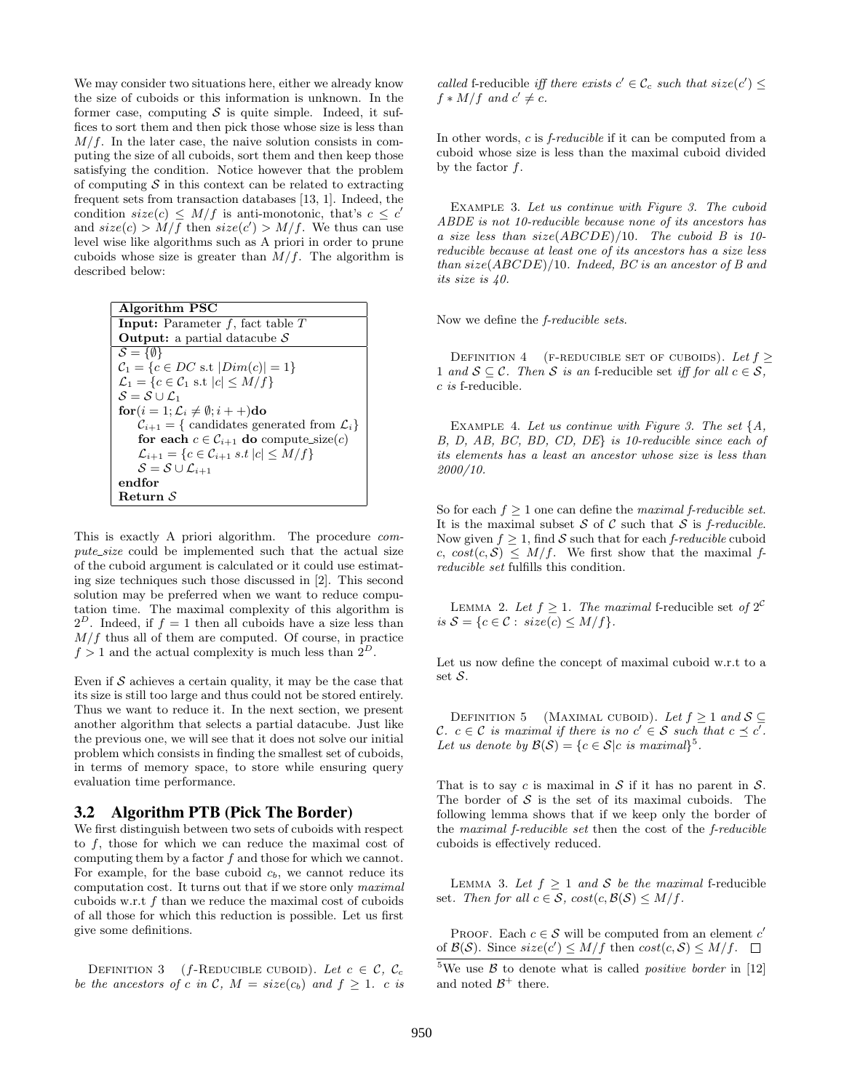We may consider two situations here, either we already know the size of cuboids or this information is unknown. In the former case, computing  $S$  is quite simple. Indeed, it suffices to sort them and then pick those whose size is less than  $M/f$ . In the later case, the naive solution consists in computing the size of all cuboids, sort them and then keep those satisfying the condition. Notice however that the problem of computing  $S$  in this context can be related to extracting frequent sets from transaction databases [13, 1]. Indeed, the condition  $size(c) \leq M/f$  is anti-monotonic, that's  $c \leq c'$ and  $size(c) > M/f$  then  $size(c') > M/f$ . We thus can use level wise like algorithms such as A priori in order to prune cuboids whose size is greater than  $M/f$ . The algorithm is described below:

| Algorithm PSC                                                          |
|------------------------------------------------------------------------|
| <b>Input:</b> Parameter $f$ , fact table $T$                           |
| <b>Output:</b> a partial datacube $S$                                  |
| $S = \{\emptyset\}$                                                    |
| $C_1 = \{c \in DC \text{ s.t }  Dim(c)  = 1\}$                         |
| $\mathcal{L}_1 = \{c \in \mathcal{C}_1 \text{ s.t }  c  \leq M/f\}$    |
| $S = S \cup C_1$                                                       |
| $\mathbf{for}(i=1; \mathcal{L}_i \neq \emptyset; i++)$ do              |
| $\mathcal{C}_{i+1} = \{$ candidates generated from $\mathcal{L}_i$     |
| for each $c \in C_{i+1}$ do compute_size(c)                            |
| $\mathcal{L}_{i+1} = \{c \in \mathcal{C}_{i+1} \ s.t \  c  \leq M/f\}$ |
| $\mathcal{S} = \mathcal{S} \cup \mathcal{L}_{i+1}$                     |
| endfor                                                                 |
| Return ${\cal S}$                                                      |

This is exactly A priori algorithm. The procedure compute\_size could be implemented such that the actual size of the cuboid argument is calculated or it could use estimating size techniques such those discussed in [2]. This second solution may be preferred when we want to reduce computation time. The maximal complexity of this algorithm is  $2^D$ . Indeed, if  $f = 1$  then all cuboids have a size less than  $M/f$  thus all of them are computed. Of course, in practice  $f > 1$  and the actual complexity is much less than  $2^D$ .

Even if  $S$  achieves a certain quality, it may be the case that its size is still too large and thus could not be stored entirely. Thus we want to reduce it. In the next section, we present another algorithm that selects a partial datacube. Just like the previous one, we will see that it does not solve our initial problem which consists in finding the smallest set of cuboids, in terms of memory space, to store while ensuring query evaluation time performance.

#### 3.2 Algorithm PTB (Pick The Border)

We first distinguish between two sets of cuboids with respect to f, those for which we can reduce the maximal cost of computing them by a factor  $f$  and those for which we cannot. For example, for the base cuboid  $c<sub>b</sub>$ , we cannot reduce its computation cost. It turns out that if we store only maximal cuboids w.r.t  $f$  than we reduce the maximal cost of cuboids of all those for which this reduction is possible. Let us first give some definitions.

DEFINITION 3 (f-REDUCIBLE CUBOID). Let  $c \in \mathcal{C}$ ,  $\mathcal{C}_c$ be the ancestors of c in C,  $M = size(c_b)$  and  $f \geq 1$ . c is called f-reducible iff there exists  $c' \in \mathcal{C}_c$  such that  $size(c') \leq$  $f * M/f$  and  $c' \neq c$ .

In other words, c is *f-reducible* if it can be computed from a cuboid whose size is less than the maximal cuboid divided by the factor  $f$ .

EXAMPLE 3. Let us continue with Figure 3. The cuboid ABDE is not 10-reducible because none of its ancestors has a size less than  $size(ABCDE)/10$ . The cuboid B is 10reducible because at least one of its ancestors has a size less than  $size(ABCDE)/10$ . Indeed, BC is an ancestor of B and its size is 40.

Now we define the f-reducible sets.

DEFINITION 4 (F-REDUCIBLE SET OF CUBOIDS). Let  $f \geq$ 1 and  $S \subseteq \mathcal{C}$ . Then S is an f-reducible set iff for all  $c \in \mathcal{S}$ ,  $c$  is f-reducible.

EXAMPLE 4. Let us continue with Figure 3. The set  $\{A, \}$ B, D, AB, BC, BD, CD, DE} is 10-reducible since each of its elements has a least an ancestor whose size is less than 2000/10.

So for each  $f \geq 1$  one can define the *maximal f-reducible set*. It is the maximal subset  $S$  of  $C$  such that  $S$  is *f-reducible.* Now given  $f \geq 1$ , find S such that for each f-reducible cuboid c,  $cost(c, S) \leq M/f$ . We first show that the maximal freducible set fulfills this condition.

LEMMA 2. Let  $f \geq 1$ . The maximal f-reducible set of  $2^C$ is  $S = \{c \in \mathcal{C} : \text{size}(c) \leq M/f\}.$ 

Let us now define the concept of maximal cuboid w.r.t to a set S.

DEFINITION 5 (MAXIMAL CUBOID). Let  $f \geq 1$  and  $S \subseteq$ C.  $c \in \mathcal{C}$  is maximal if there is no  $c' \in \mathcal{S}$  such that  $c \preceq c'$ . Let us denote by  $\mathcal{B}(\mathcal{S}) = \{c \in \mathcal{S} | c \text{ is maximal}\}^5$ .

That is to say c is maximal in  $S$  if it has no parent in  $S$ . The border of  $S$  is the set of its maximal cuboids. The following lemma shows that if we keep only the border of the maximal f-reducible set then the cost of the f-reducible cuboids is effectively reduced.

LEMMA 3. Let  $f > 1$  and S be the maximal f-reducible set. Then for all  $c \in S$ ,  $cost(c, \mathcal{B}(S) \leq M/f$ .

PROOF. Each  $c \in \mathcal{S}$  will be computed from an element  $c'$ of  $\mathcal{B}(\mathcal{S})$ . Since  $size(c') \leq M/f$  then  $cost(c, \mathcal{S}) \leq M/f$ .

<sup>&</sup>lt;sup>5</sup>We use  $\beta$  to denote what is called *positive border* in [12] and noted  $\mathcal{B}^+$  there.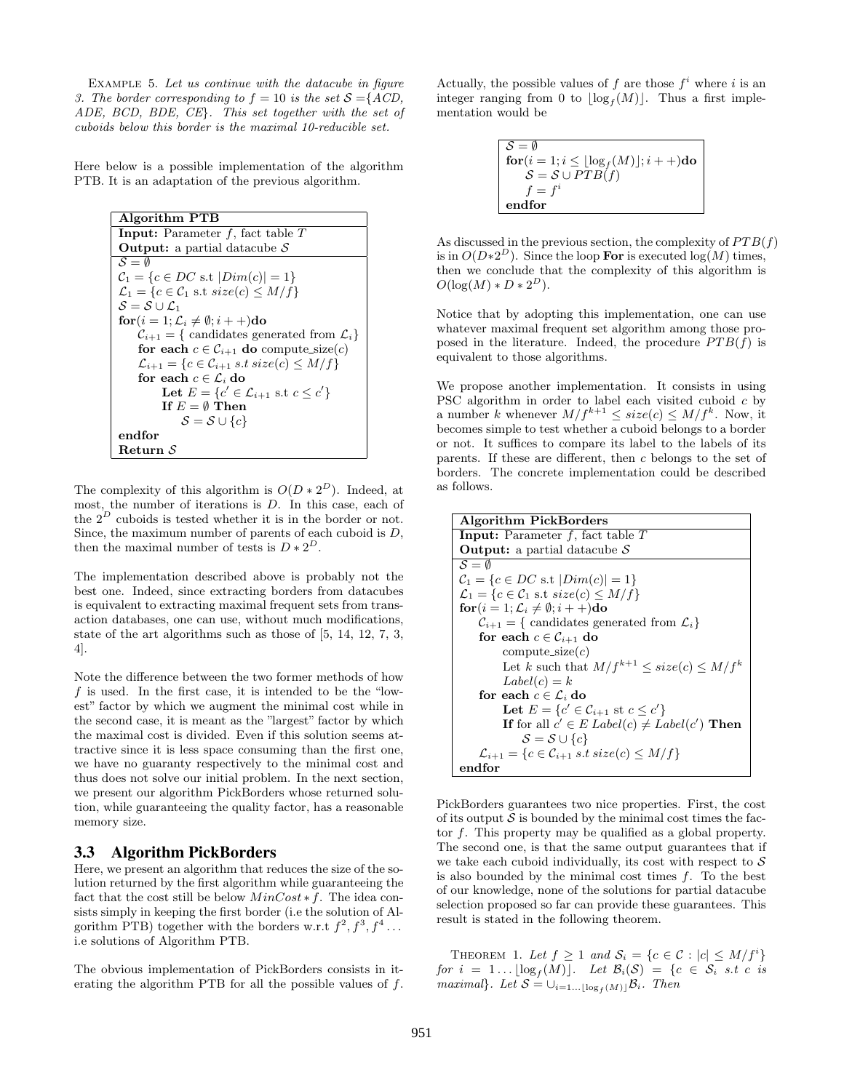Example 5. Let us continue with the datacube in figure 3. The border corresponding to  $f = 10$  is the set  $S = \{ACD,$ ADE, BCD, BDE, CE}. This set together with the set of cuboids below this border is the maximal 10-reducible set.

Here below is a possible implementation of the algorithm PTB. It is an adaptation of the previous algorithm.

```
Algorithm PTB
Input: Parameter f, fact table TOutput: a partial datacube S\overline{S} = \emptysetC_1 = \{c \in DC \text{ s.t } |Dim(c)| = 1\}\mathcal{L}_1 = \{c \in \mathcal{C}_1 \text{ s.t } size(c) \leq M/f\}S = S \cup L_1\mathbf{for}(i = 1; \mathcal{L}_i \neq \emptyset; i + +)do
     \mathcal{C}_{i+1} = \{ candidates generated from \mathcal{L}_ifor each c \in \mathcal{C}_{i+1} do compute_size(c)
     \mathcal{L}_{i+1} = \{c \in \mathcal{C}_{i+1} \text{ s.t } size(c) \leq M/f\}for each c \in \mathcal{L}_i do
            Let E = \{c' \in \mathcal{L}_{i+1} \text{ s.t } c \leq c'\}If E = \emptyset Then
                 S = S \cup \{c\}endfor
Return S
```
The complexity of this algorithm is  $O(D * 2^D)$ . Indeed, at most, the number of iterations is D. In this case, each of the  $2^D$  cuboids is tested whether it is in the border or not. Since, the maximum number of parents of each cuboid is D, then the maximal number of tests is  $D * 2^D$ .

The implementation described above is probably not the best one. Indeed, since extracting borders from datacubes is equivalent to extracting maximal frequent sets from transaction databases, one can use, without much modifications, state of the art algorithms such as those of [5, 14, 12, 7, 3, 4].

Note the difference between the two former methods of how  $f$  is used. In the first case, it is intended to be the "lowest" factor by which we augment the minimal cost while in the second case, it is meant as the "largest" factor by which the maximal cost is divided. Even if this solution seems attractive since it is less space consuming than the first one, we have no guaranty respectively to the minimal cost and thus does not solve our initial problem. In the next section, we present our algorithm PickBorders whose returned solution, while guaranteeing the quality factor, has a reasonable memory size.

#### 3.3 Algorithm PickBorders

Here, we present an algorithm that reduces the size of the solution returned by the first algorithm while guaranteeing the fact that the cost still be below  $MinCost * f$ . The idea consists simply in keeping the first border (i.e the solution of Algorithm PTB) together with the borders w.r.t  $f^2, f^3, f^4 \dots$ i.e solutions of Algorithm PTB.

The obvious implementation of PickBorders consists in iterating the algorithm PTB for all the possible values of f.

Actually, the possible values of  $f$  are those  $f^i$  where  $i$  is an integer ranging from 0 to  $\lfloor \log_f(M) \rfloor$ . Thus a first implementation would be

$$
\begin{array}{l} \mathcal{S} = \emptyset \\ \textbf{for}(i = 1; i \leq \lfloor \log_f(M) \rfloor; i++)\textbf{do} \\ \mathcal{S} = \mathcal{S} \cup PTB(f) \\ f = f^i \\ \textbf{endfor} \end{array}
$$

As discussed in the previous section, the complexity of  $PTB(f)$ is in  $O(D*2^D)$ . Since the loop **For** is executed  $log(M)$  times, then we conclude that the complexity of this algorithm is  $O(\log(M) * D * 2^D).$ 

Notice that by adopting this implementation, one can use whatever maximal frequent set algorithm among those proposed in the literature. Indeed, the procedure  $PTB(f)$  is equivalent to those algorithms.

We propose another implementation. It consists in using PSC algorithm in order to label each visited cuboid c by a number k whenever  $M/f^{k+1} \leq size(c) \leq M/f^k$ . Now, it becomes simple to test whether a cuboid belongs to a border or not. It suffices to compare its label to the labels of its parents. If these are different, then c belongs to the set of borders. The concrete implementation could be described as follows.

| <b>Algorithm PickBorders</b>                                               |
|----------------------------------------------------------------------------|
| <b>Input:</b> Parameter $f$ , fact table $T$                               |
| <b>Output:</b> a partial datacube $S$                                      |
| $S = \emptyset$                                                            |
| $C_1 = \{c \in DC \text{ s.t }  Dim(c)  = 1\}$                             |
| $\mathcal{L}_1 = \{c \in \mathcal{C}_1 \text{ s.t } size(c) \leq M/f\}$    |
| $\mathbf{for}(i=1; \mathcal{L}_i \neq \emptyset; i++)$ do                  |
| $\mathcal{C}_{i+1} = \{$ candidates generated from $\mathcal{L}_i$         |
| for each $c \in \mathcal{C}_{i+1}$ do                                      |
| $compute\_size(c)$                                                         |
| Let k such that $M/f^{k+1} \leq size(c) \leq M/f^k$                        |
| $Label(c) = k$                                                             |
| for each $c \in \mathcal{L}_i$ do                                          |
| Let $E = \{c' \in C_{i+1} \text{ st } c \leq c'\}$                         |
| If for all $c' \in E$ Label $(c) \neq Label(c')$ Then                      |
| $\mathcal{S} = \mathcal{S} \cup \{c\}$                                     |
| $\mathcal{L}_{i+1} = \{c \in \mathcal{C}_{i+1} \ s.t \ size(c) \leq M/f\}$ |
| endfor                                                                     |

PickBorders guarantees two nice properties. First, the cost of its output  $S$  is bounded by the minimal cost times the factor f. This property may be qualified as a global property. The second one, is that the same output guarantees that if we take each cuboid individually, its cost with respect to  $S$ is also bounded by the minimal cost times  $f$ . To the best of our knowledge, none of the solutions for partial datacube selection proposed so far can provide these guarantees. This result is stated in the following theorem.

THEOREM 1. Let  $f \geq 1$  and  $S_i = \{c \in \mathcal{C} : |c| \leq M/f^i\}$ for  $i = 1 \dots \lfloor \log_f(M) \rfloor$ . Let  $\mathcal{B}_i(\mathcal{S}) = \{c \in \mathcal{S}_i \text{ s.t } c \text{ is }$ maximal}. Let  $S = \bigcup_{i=1...|\log_f(M)|} B_i$ . Then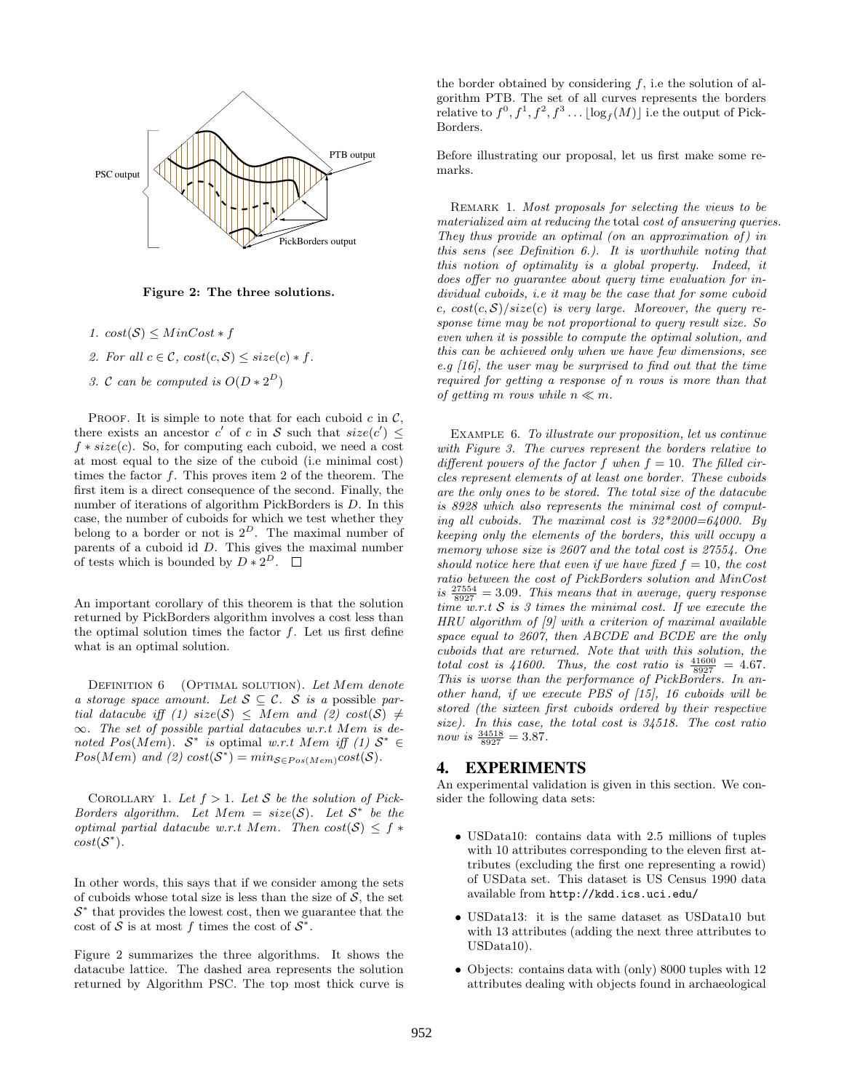

Figure 2: The three solutions.

- 1.  $cost(\mathcal{S}) \leq MinCost * f$
- 2. For all  $c \in \mathcal{C}$ ,  $cost(c, \mathcal{S}) \leq size(c) * f$ .
- 3. C can be computed is  $O(D * 2^D)$

PROOF. It is simple to note that for each cuboid  $c$  in  $\mathcal{C}$ , there exists an ancestor c' of c in S such that  $size(c') \leq$  $f * size(c)$ . So, for computing each cuboid, we need a cost at most equal to the size of the cuboid (i.e minimal cost) times the factor  $f$ . This proves item 2 of the theorem. The first item is a direct consequence of the second. Finally, the number of iterations of algorithm PickBorders is D. In this case, the number of cuboids for which we test whether they belong to a border or not is  $2^D$ . The maximal number of parents of a cuboid id  $D$ . This gives the maximal number of tests which is bounded by  $D * 2^D$ .

An important corollary of this theorem is that the solution returned by PickBorders algorithm involves a cost less than the optimal solution times the factor  $f$ . Let us first define what is an optimal solution.

DEFINITION 6 (OPTIMAL SOLUTION). Let Mem denote a storage space amount. Let  $S \subseteq \mathcal{C}$ . S is a possible partial datacube iff (1) size(S)  $\leq$  Mem and (2) cost(S)  $\neq$  $\infty$ . The set of possible partial datacubes w.r.t Mem is denoted Pos(Mem).  $S^*$  is optimal w.r.t Mem iff (1)  $S^* \in$  $Pos(Mem)$  and (2)  $cost(S^*) = min_{S \in Pos(Mem)}cost(S)$ .

COROLLARY 1. Let  $f > 1$ . Let S be the solution of Pick-Borders algorithm. Let  $Mem = size(S)$ . Let  $S^*$  be the optimal partial datacube w.r.t Mem. Then  $cost(S) \leq f *$  $cost(S^*)$ .

In other words, this says that if we consider among the sets of cuboids whose total size is less than the size of  $S$ , the set  $S^*$  that provides the lowest cost, then we guarantee that the cost of S is at most f times the cost of  $S^*$ .

Figure 2 summarizes the three algorithms. It shows the datacube lattice. The dashed area represents the solution returned by Algorithm PSC. The top most thick curve is the border obtained by considering  $f$ , i.e the solution of algorithm PTB. The set of all curves represents the borders relative to  $f^0, f^1, f^2, f^3 \dots \lfloor \log_f(M) \rfloor$  i.e the output of Pick-Borders.

Before illustrating our proposal, let us first make some remarks.

REMARK 1. Most proposals for selecting the views to be materialized aim at reducing the total cost of answering queries. They thus provide an optimal (on an approximation of) in this sens (see Definition 6.). It is worthwhile noting that this notion of optimality is a global property. Indeed, it does offer no guarantee about query time evaluation for individual cuboids, i.e it may be the case that for some cuboid c,  $cost(c, S)/size(c)$  is very large. Moreover, the query response time may be not proportional to query result size. So even when it is possible to compute the optimal solution, and this can be achieved only when we have few dimensions, see e.g  $[16]$ , the user may be surprised to find out that the time required for getting a response of n rows is more than that of getting m rows while  $n \ll m$ .

Example 6. To illustrate our proposition, let us continue with Figure 3. The curves represent the borders relative to different powers of the factor f when  $f = 10$ . The filled circles represent elements of at least one border. These cuboids are the only ones to be stored. The total size of the datacube is 8928 which also represents the minimal cost of computing all cuboids. The maximal cost is  $32*2000=64000$ . By keeping only the elements of the borders, this will occupy a memory whose size is 2607 and the total cost is 27554. One should notice here that even if we have fixed  $f = 10$ , the cost ratio between the cost of PickBorders solution and MinCost is  $\frac{27554}{8927} = 3.09$ . This means that in average, query response time w.r.t  $S$  is 3 times the minimal cost. If we execute the HRU algorithm of [9] with a criterion of maximal available space equal to 2607, then ABCDE and BCDE are the only cuboids that are returned. Note that with this solution, the total cost is 41600. Thus, the cost ratio is  $\frac{41600}{8927} = 4.67$ . This is worse than the performance of PickBorders. In another hand, if we execute PBS of [15], 16 cuboids will be stored (the sixteen first cuboids ordered by their respective size). In this case, the total cost is 34518. The cost ratio now is  $\frac{34518}{8927} = 3.87$ .

#### 4. EXPERIMENTS

An experimental validation is given in this section. We consider the following data sets:

- USData10: contains data with 2.5 millions of tuples with 10 attributes corresponding to the eleven first attributes (excluding the first one representing a rowid) of USData set. This dataset is US Census 1990 data available from http://kdd.ics.uci.edu/
- USData13: it is the same dataset as USData10 but with 13 attributes (adding the next three attributes to USData10).
- Objects: contains data with (only) 8000 tuples with 12 attributes dealing with objects found in archaeological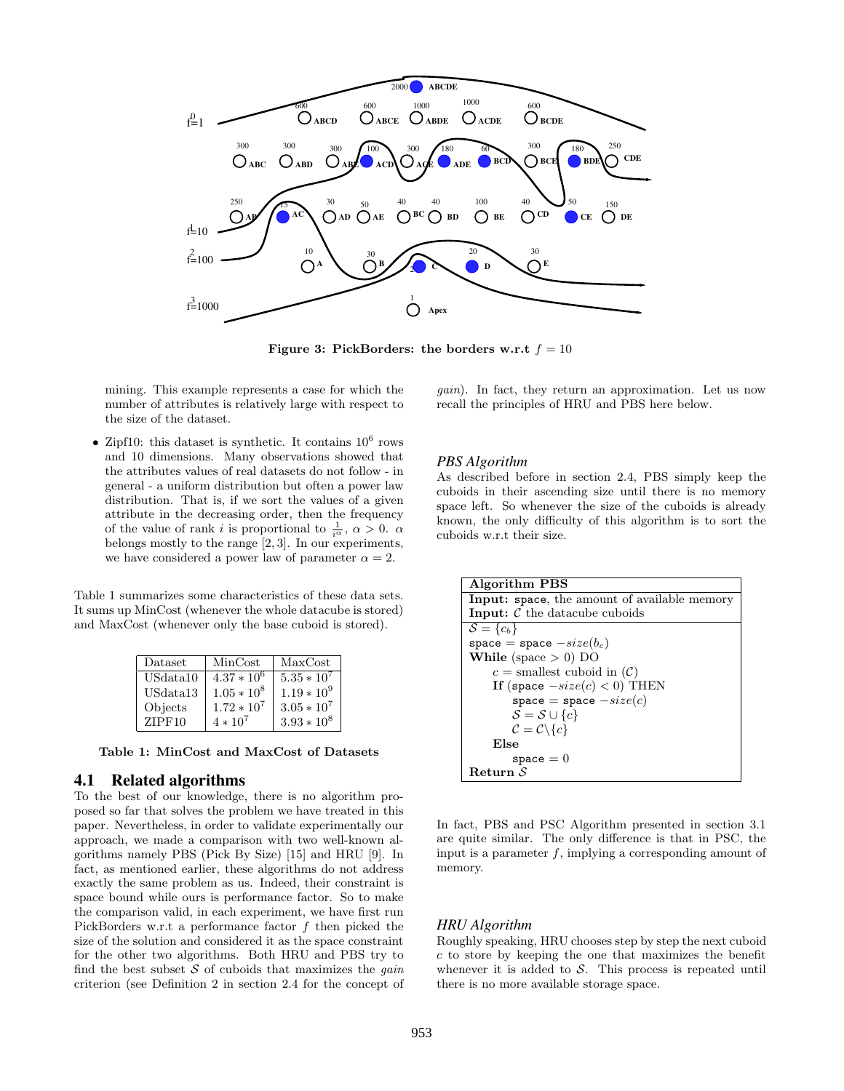

Figure 3: PickBorders: the borders w.r.t  $f = 10$ 

mining. This example represents a case for which the number of attributes is relatively large with respect to the size of the dataset.

• Zipf10: this dataset is synthetic. It contains  $10^6$  rows and 10 dimensions. Many observations showed that the attributes values of real datasets do not follow - in general - a uniform distribution but often a power law distribution. That is, if we sort the values of a given attribute in the decreasing order, then the frequency of the value of rank *i* is proportional to  $\frac{1}{i^{\alpha}}$ ,  $\alpha > 0$ .  $\alpha$ belongs mostly to the range [2, 3]. In our experiments, we have considered a power law of parameter  $\alpha = 2$ .

Table 1 summarizes some characteristics of these data sets. It sums up MinCost (whenever the whole datacube is stored) and MaxCost (whenever only the base cuboid is stored).

| Dataset  | MinCost       | MaxCost       |
|----------|---------------|---------------|
| USdata10 | $4.37 * 10^6$ | $5.35 * 10^7$ |
| USdata13 | $1.05 * 10^8$ | $1.19 * 10^9$ |
| Objects  | $1.72 * 10^7$ | $3.05 * 10^7$ |
| ZIPF10   | $4 * 10^7$    | $3.93 * 10^8$ |

Table 1: MinCost and MaxCost of Datasets

#### 4.1 Related algorithms

To the best of our knowledge, there is no algorithm proposed so far that solves the problem we have treated in this paper. Nevertheless, in order to validate experimentally our approach, we made a comparison with two well-known algorithms namely PBS (Pick By Size) [15] and HRU [9]. In fact, as mentioned earlier, these algorithms do not address exactly the same problem as us. Indeed, their constraint is space bound while ours is performance factor. So to make the comparison valid, in each experiment, we have first run PickBorders w.r.t a performance factor f then picked the size of the solution and considered it as the space constraint for the other two algorithms. Both HRU and PBS try to find the best subset  $S$  of cuboids that maximizes the *gain* criterion (see Definition 2 in section 2.4 for the concept of

gain). In fact, they return an approximation. Let us now recall the principles of HRU and PBS here below.

#### *PBS Algorithm*

As described before in section 2.4, PBS simply keep the cuboids in their ascending size until there is no memory space left. So whenever the size of the cuboids is already known, the only difficulty of this algorithm is to sort the cuboids w.r.t their size.

```
Algorithm PBS
Input: space, the amount of available memory
Input: C the datacube cuboids
\mathcal{S} = \{c_b\}space = space -size(b_c)While (space > 0) DO
    c = smallest cuboid in (C)If (space -size(c) < 0) THEN
        space = space -size(c)\mathcal{S} = \mathcal{S} \cup \{c\}C = C \setminus \{c\}Else
        space = 0Return S
```
In fact, PBS and PSC Algorithm presented in section 3.1 are quite similar. The only difference is that in PSC, the input is a parameter  $f$ , implying a corresponding amount of memory.

# *HRU Algorithm*

Roughly speaking, HRU chooses step by step the next cuboid c to store by keeping the one that maximizes the benefit whenever it is added to  $S$ . This process is repeated until there is no more available storage space.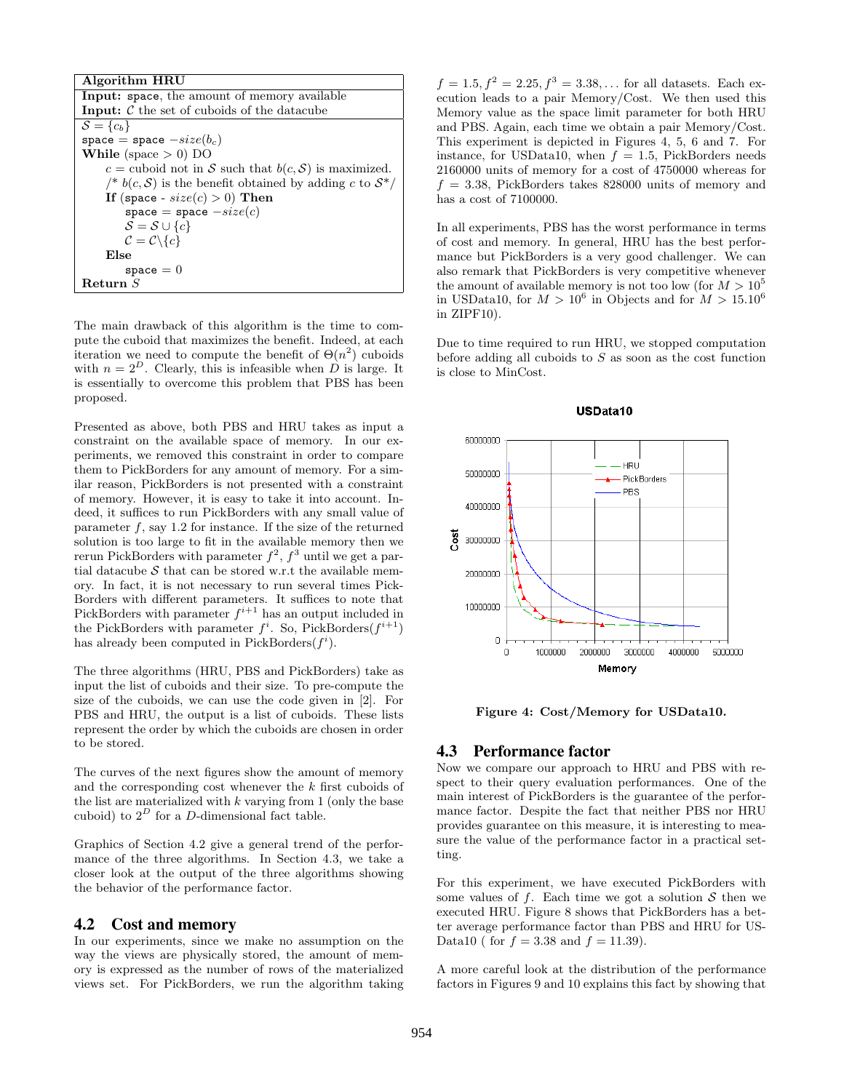| Algorithm HRU                                                 |
|---------------------------------------------------------------|
| <b>Input:</b> space, the amount of memory available           |
| <b>Input:</b> $\mathcal C$ the set of cuboids of the datacube |
| $\mathcal{S} = \{c_b\}$                                       |
| space = space $-size(b_c)$                                    |
| While (space $> 0$ ) DO                                       |
| $c =$ cuboid not in S such that $b(c, S)$ is maximized.       |
| /* $b(c, S)$ is the benefit obtained by adding c to $S^*/$    |
| If (space - $size(c) > 0$ ) Then                              |
| space = space $-size(c)$                                      |
| $\mathcal{S} = \mathcal{S} \cup \{c\}$                        |
| $\mathcal{C} = \mathcal{C} \backslash \{c\}$                  |
| Else                                                          |
| $space = 0$                                                   |
| ${\bf Return}~S$                                              |

The main drawback of this algorithm is the time to compute the cuboid that maximizes the benefit. Indeed, at each iteration we need to compute the benefit of  $\Theta(n^2)$  cuboids with  $n = 2^D$ . Clearly, this is infeasible when D is large. It is essentially to overcome this problem that PBS has been proposed.

Presented as above, both PBS and HRU takes as input a constraint on the available space of memory. In our experiments, we removed this constraint in order to compare them to PickBorders for any amount of memory. For a similar reason, PickBorders is not presented with a constraint of memory. However, it is easy to take it into account. Indeed, it suffices to run PickBorders with any small value of parameter  $f$ , say 1.2 for instance. If the size of the returned solution is too large to fit in the available memory then we rerun PickBorders with parameter  $f^2$ ,  $f^3$  until we get a partial datacube  $S$  that can be stored w.r.t the available memory. In fact, it is not necessary to run several times Pick-Borders with different parameters. It suffices to note that PickBorders with parameter  $f^{i+1}$  has an output included in the PickBorders with parameter  $f^i$ . So, PickBorders $(f^{i+1})$ has already been computed in PickBorders $(f<sup>i</sup>)$ .

The three algorithms (HRU, PBS and PickBorders) take as input the list of cuboids and their size. To pre-compute the size of the cuboids, we can use the code given in [2]. For PBS and HRU, the output is a list of cuboids. These lists represent the order by which the cuboids are chosen in order to be stored.

The curves of the next figures show the amount of memory and the corresponding cost whenever the  $k$  first cuboids of the list are materialized with  $k$  varying from 1 (only the base cuboid) to  $2^D$  for a D-dimensional fact table.

Graphics of Section 4.2 give a general trend of the performance of the three algorithms. In Section 4.3, we take a closer look at the output of the three algorithms showing the behavior of the performance factor.

### 4.2 Cost and memory

In our experiments, since we make no assumption on the way the views are physically stored, the amount of memory is expressed as the number of rows of the materialized views set. For PickBorders, we run the algorithm taking  $f = 1.5, f^2 = 2.25, f^3 = 3.38, \ldots$  for all datasets. Each execution leads to a pair Memory/Cost. We then used this Memory value as the space limit parameter for both HRU and PBS. Again, each time we obtain a pair Memory/Cost. This experiment is depicted in Figures 4, 5, 6 and 7. For instance, for USData10, when  $f = 1.5$ , PickBorders needs 2160000 units of memory for a cost of 4750000 whereas for  $f = 3.38$ , PickBorders takes 828000 units of memory and has a cost of 7100000.

In all experiments, PBS has the worst performance in terms of cost and memory. In general, HRU has the best performance but PickBorders is a very good challenger. We can also remark that PickBorders is very competitive whenever the amount of available memory is not too low (for  $M > 10^5$ ) in USData10, for  $M > 10^6$  in Objects and for  $M > 15.10^6$ in ZIPF10).

Due to time required to run HRU, we stopped computation before adding all cuboids to  $S$  as soon as the cost function is close to MinCost.



Figure 4: Cost/Memory for USData10.

#### 4.3 Performance factor

Now we compare our approach to HRU and PBS with respect to their query evaluation performances. One of the main interest of PickBorders is the guarantee of the performance factor. Despite the fact that neither PBS nor HRU provides guarantee on this measure, it is interesting to measure the value of the performance factor in a practical setting.

For this experiment, we have executed PickBorders with some values of f. Each time we got a solution  $S$  then we executed HRU. Figure 8 shows that PickBorders has a better average performance factor than PBS and HRU for US-Data10 ( for  $f = 3.38$  and  $f = 11.39$ ).

A more careful look at the distribution of the performance factors in Figures 9 and 10 explains this fact by showing that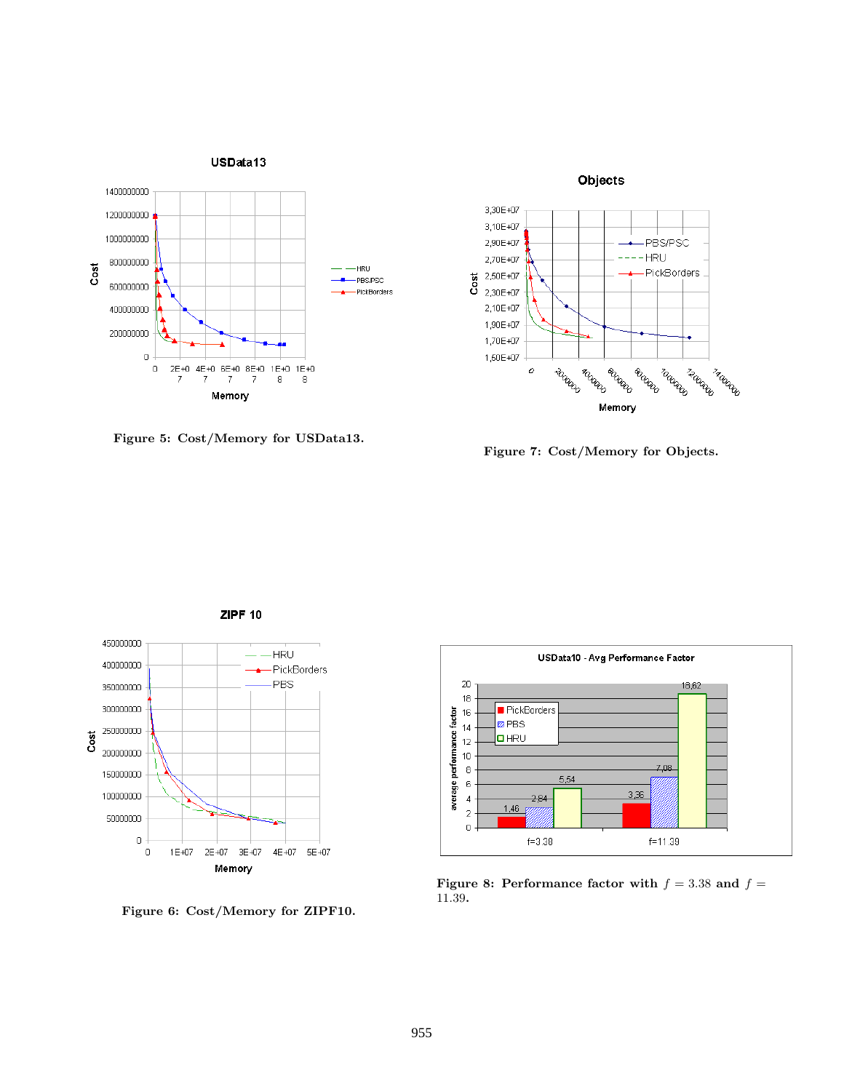

Figure 5: Cost/Memory for USData13.



Figure 7: Cost/Memory for Objects.



Figure 6: Cost/Memory for ZIPF10.



Figure 8: Performance factor with  $f = 3.38$  and  $f =$ 11.39.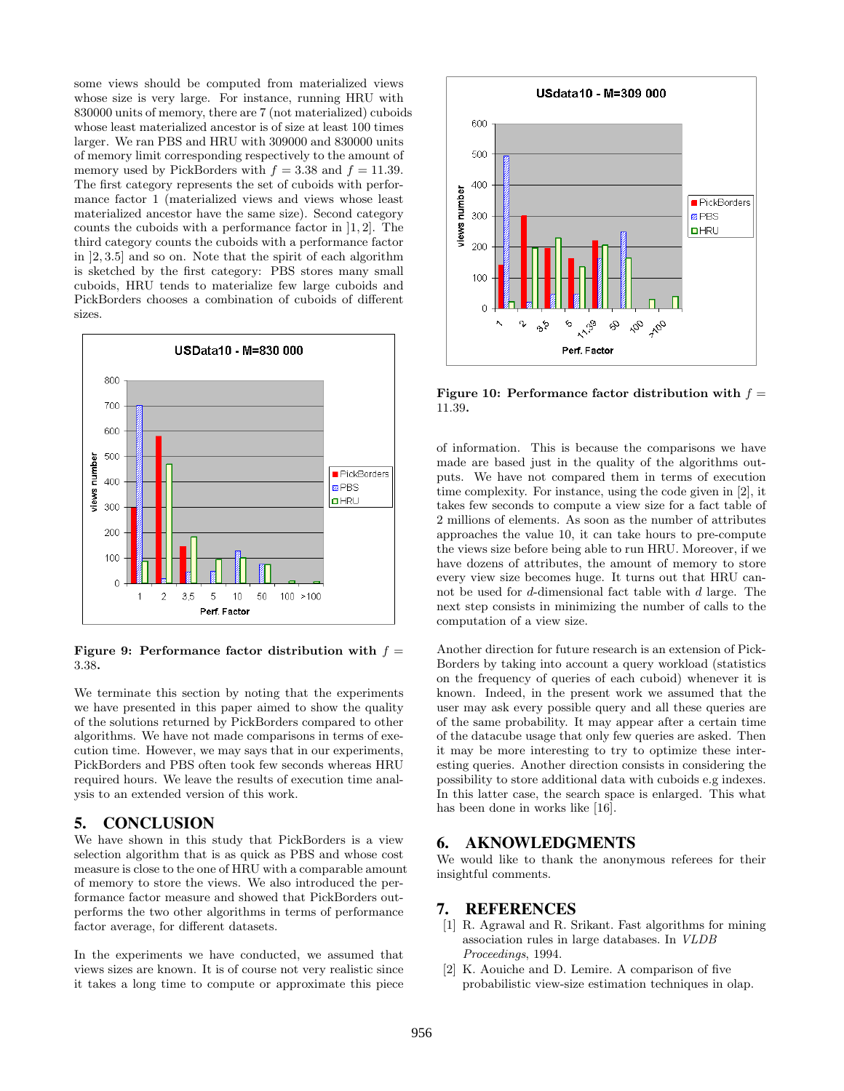some views should be computed from materialized views whose size is very large. For instance, running HRU with 830000 units of memory, there are 7 (not materialized) cuboids whose least materialized ancestor is of size at least 100 times larger. We ran PBS and HRU with 309000 and 830000 units of memory limit corresponding respectively to the amount of memory used by PickBorders with  $f = 3.38$  and  $f = 11.39$ . The first category represents the set of cuboids with performance factor 1 (materialized views and views whose least materialized ancestor have the same size). Second category counts the cuboids with a performance factor in ]1, 2]. The third category counts the cuboids with a performance factor in ]2, 3.5] and so on. Note that the spirit of each algorithm is sketched by the first category: PBS stores many small cuboids, HRU tends to materialize few large cuboids and PickBorders chooses a combination of cuboids of different sizes.



Figure 9: Performance factor distribution with  $f =$ 3.38.

We terminate this section by noting that the experiments we have presented in this paper aimed to show the quality of the solutions returned by PickBorders compared to other algorithms. We have not made comparisons in terms of execution time. However, we may says that in our experiments, PickBorders and PBS often took few seconds whereas HRU required hours. We leave the results of execution time analysis to an extended version of this work.

### 5. CONCLUSION

We have shown in this study that PickBorders is a view selection algorithm that is as quick as PBS and whose cost measure is close to the one of HRU with a comparable amount of memory to store the views. We also introduced the performance factor measure and showed that PickBorders outperforms the two other algorithms in terms of performance factor average, for different datasets.

In the experiments we have conducted, we assumed that views sizes are known. It is of course not very realistic since it takes a long time to compute or approximate this piece



Figure 10: Performance factor distribution with  $f =$ 11.39.

of information. This is because the comparisons we have made are based just in the quality of the algorithms outputs. We have not compared them in terms of execution time complexity. For instance, using the code given in [2], it takes few seconds to compute a view size for a fact table of 2 millions of elements. As soon as the number of attributes approaches the value 10, it can take hours to pre-compute the views size before being able to run HRU. Moreover, if we have dozens of attributes, the amount of memory to store every view size becomes huge. It turns out that HRU cannot be used for d-dimensional fact table with d large. The next step consists in minimizing the number of calls to the computation of a view size.

Another direction for future research is an extension of Pick-Borders by taking into account a query workload (statistics on the frequency of queries of each cuboid) whenever it is known. Indeed, in the present work we assumed that the user may ask every possible query and all these queries are of the same probability. It may appear after a certain time of the datacube usage that only few queries are asked. Then it may be more interesting to try to optimize these interesting queries. Another direction consists in considering the possibility to store additional data with cuboids e.g indexes. In this latter case, the search space is enlarged. This what has been done in works like [16].

### 6. AKNOWLEDGMENTS

We would like to thank the anonymous referees for their insightful comments.

#### 7. REFERENCES

- [1] R. Agrawal and R. Srikant. Fast algorithms for mining association rules in large databases. In VLDB Proceedings, 1994.
- [2] K. Aouiche and D. Lemire. A comparison of five probabilistic view-size estimation techniques in olap.